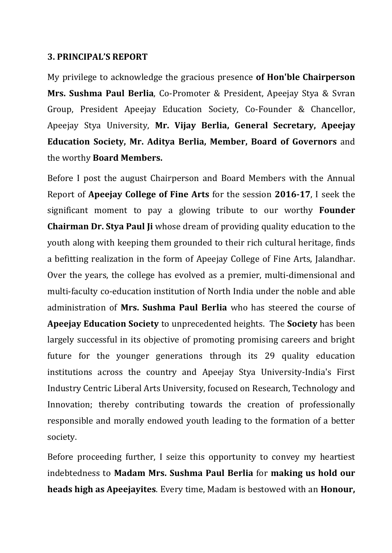#### **3. PRINCIPAL'S REPORT**

My privilege to acknowledge the gracious presence **of Hon'ble Chairperson Mrs. Sushma Paul Berlia**, Co-Promoter & President, Apeejay Stya & Svran Group, President Apeejay Education Society, Co-Founder & Chancellor, Apeejay Stya University, **Mr. Vijay Berlia, General Secretary, Apeejay Education Society, Mr. Aditya Berlia, Member, Board of Governors** and the worthy **Board Members.**

Before I post the august Chairperson and Board Members with the Annual Report of **Apeejay College of Fine Arts** for the session **2016-17**, I seek the significant moment to pay a glowing tribute to our worthy **Founder Chairman Dr. Stya Paul Ji** whose dream of providing quality education to the youth along with keeping them grounded to their rich cultural heritage, finds a befitting realization in the form of Apeejay College of Fine Arts, Jalandhar. Over the years, the college has evolved as a premier, multi-dimensional and multi-faculty co-education institution of North India under the noble and able administration of **Mrs. Sushma Paul Berlia** who has steered the course of **Apeejay Education Society** to unprecedented heights. The **Society** has been largely successful in its objective of promoting promising careers and bright future for the younger generations through its 29 quality education institutions across the country and Apeejay Stya University-India's First Industry Centric Liberal Arts University, focused on Research, Technology and Innovation; thereby contributing towards the creation of professionally responsible and morally endowed youth leading to the formation of a better society.

Before proceeding further, I seize this opportunity to convey my heartiest indebtedness to **Madam Mrs. Sushma Paul Berlia** for **making us hold our heads high as Apeejayites**. Every time, Madam is bestowed with an **Honour,**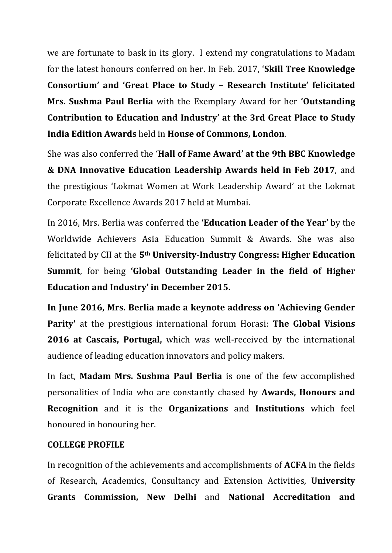we are fortunate to bask in its glory. I extend my congratulations to Madam for the latest honours conferred on her. In Feb. 2017, '**Skill Tree Knowledge Consortium' and 'Great Place to Study – Research Institute' felicitated Mrs. Sushma Paul Berlia** with the Exemplary Award for her **'Outstanding Contribution to Education and Industry' at the 3rd Great Place to Study India Edition Awards** held in **House of Commons, London**.

She was also conferred the '**Hall of Fame Award' at the 9th BBC Knowledge & DNA Innovative Education Leadership Awards held in Feb 2017**, and the prestigious 'Lokmat Women at Work Leadership Award' at the Lokmat Corporate Excellence Awards 2017 held at Mumbai.

In 2016, Mrs. Berlia was conferred the **'Education Leader of the Year'** by the Worldwide Achievers Asia Education Summit & Awards. She was also felicitated by CII at the **5th University-Industry Congress: Higher Education Summit**, for being **'Global Outstanding Leader in the field of Higher Education and Industry' in December 2015.**

**In June 2016, Mrs. Berlia made a keynote address on 'Achieving Gender Parity'** at the prestigious international forum Horasi: **The Global Visions 2016 at Cascais, Portugal,** which was well-received by the international audience of leading education innovators and policy makers.

In fact, **Madam Mrs. Sushma Paul Berlia** is one of the few accomplished personalities of India who are constantly chased by **Awards, Honours and Recognition** and it is the **Organizations** and **Institutions** which feel honoured in honouring her.

## **COLLEGE PROFILE**

In recognition of the achievements and accomplishments of **ACFA** in the fields of Research, Academics, Consultancy and Extension Activities, **University Grants Commission, New Delhi** and **National Accreditation and**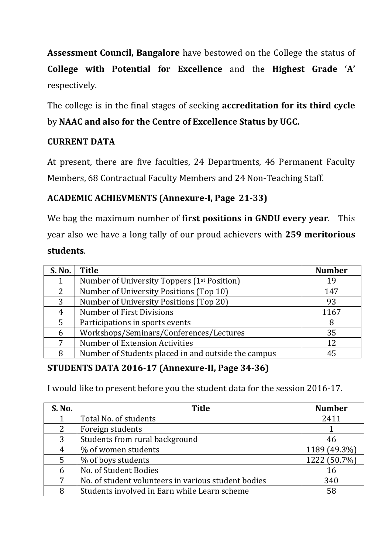**Assessment Council, Bangalore** have bestowed on the College the status of **College with Potential for Excellence** and the **Highest Grade 'A'**  respectively.

The college is in the final stages of seeking **accreditation for its third cycle** by **NAAC and also for the Centre of Excellence Status by UGC.**

## **CURRENT DATA**

At present, there are five faculties, 24 Departments, 46 Permanent Faculty Members, 68 Contractual Faculty Members and 24 Non-Teaching Staff.

## **ACADEMIC ACHIEVMENTS (Annexure-I, Page 21-33)**

We bag the maximum number of **first positions in GNDU every year**. This year also we have a long tally of our proud achievers with **259 meritorious students**.

| S. No. | <b>Title</b>                                            | <b>Number</b> |
|--------|---------------------------------------------------------|---------------|
|        | Number of University Toppers (1 <sup>st</sup> Position) | 19            |
| 2      | Number of University Positions (Top 10)                 | 147           |
| 3      | Number of University Positions (Top 20)                 | 93            |
| 4      | <b>Number of First Divisions</b>                        | 1167          |
| 5      | Participations in sports events                         | 8             |
| 6      | Workshops/Seminars/Conferences/Lectures                 | 35            |
| 7      | <b>Number of Extension Activities</b>                   | 12            |
| 8      | Number of Students placed in and outside the campus     | 45            |

## **STUDENTS DATA 2016-17 (Annexure-II, Page 34-36)**

I would like to present before you the student data for the session 2016-17.

| S. No. | <b>Title</b>                                        | <b>Number</b> |
|--------|-----------------------------------------------------|---------------|
|        | Total No. of students                               | 2411          |
| 2      | Foreign students                                    |               |
| 3      | Students from rural background                      | 46            |
| 4      | % of women students                                 | 1189 (49.3%)  |
| 5      | % of boys students                                  | 1222 (50.7%)  |
| 6      | No. of Student Bodies                               | 16            |
| 7      | No. of student volunteers in various student bodies | 340           |
| 8      | Students involved in Earn while Learn scheme        | 58            |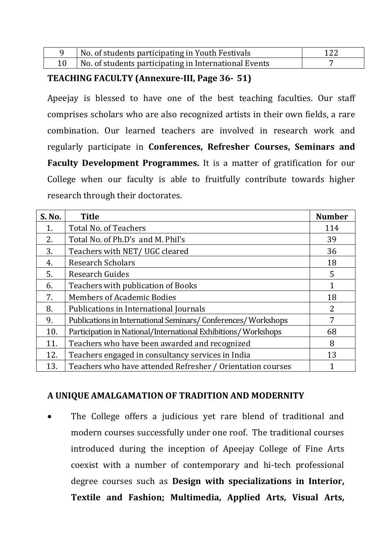| No. of students participating in Youth Festivals      |  |
|-------------------------------------------------------|--|
| No. of students participating in International Events |  |

## **TEACHING FACULTY (Annexure-III, Page 36- 51)**

Apeejay is blessed to have one of the best teaching faculties. Our staff comprises scholars who are also recognized artists in their own fields, a rare combination. Our learned teachers are involved in research work and regularly participate in **Conferences, Refresher Courses, Seminars and Faculty Development Programmes.** It is a matter of gratification for our College when our faculty is able to fruitfully contribute towards higher research through their doctorates.

| S. No. | <b>Title</b>                                                  | <b>Number</b> |
|--------|---------------------------------------------------------------|---------------|
| 1.     | <b>Total No. of Teachers</b>                                  | 114           |
| 2.     | Total No. of Ph.D's and M. Phil's                             | 39            |
| 3.     | Teachers with NET/UGC cleared                                 | 36            |
| 4.     | <b>Research Scholars</b>                                      | 18            |
| 5.     | <b>Research Guides</b>                                        | 5             |
| 6.     | Teachers with publication of Books                            |               |
| 7.     | <b>Members of Academic Bodies</b>                             | 18            |
| 8.     | Publications in International Journals                        | 2             |
| 9.     | Publications in International Seminars/Conferences/Workshops  | 7             |
| 10.    | Participation in National/International Exhibitions/Workshops | 68            |
| 11.    | Teachers who have been awarded and recognized                 | 8             |
| 12.    | Teachers engaged in consultancy services in India             | 13            |
| 13.    | Teachers who have attended Refresher / Orientation courses    |               |

## **A UNIQUE AMALGAMATION OF TRADITION AND MODERNITY**

The College offers a judicious yet rare blend of traditional and modern courses successfully under one roof. The traditional courses introduced during the inception of Apeejay College of Fine Arts coexist with a number of contemporary and hi-tech professional degree courses such as **Design with specializations in Interior, Textile and Fashion; Multimedia, Applied Arts, Visual Arts,**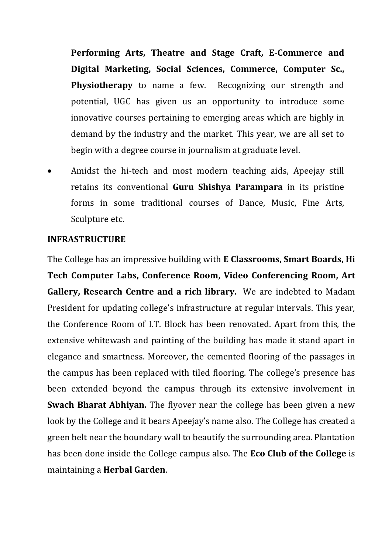**Performing Arts, Theatre and Stage Craft, E-Commerce and Digital Marketing, Social Sciences, Commerce, Computer Sc., Physiotherapy** to name a few. Recognizing our strength and potential, UGC has given us an opportunity to introduce some innovative courses pertaining to emerging areas which are highly in demand by the industry and the market. This year, we are all set to begin with a degree course in journalism at graduate level.

• Amidst the hi-tech and most modern teaching aids, Apeejay still retains its conventional **Guru Shishya Parampara** in its pristine forms in some traditional courses of Dance, Music, Fine Arts, Sculpture etc.

### **INFRASTRUCTURE**

The College has an impressive building with **E Classrooms, Smart Boards, Hi Tech Computer Labs, Conference Room, Video Conferencing Room, Art Gallery, Research Centre and a rich library.** We are indebted to Madam President for updating college's infrastructure at regular intervals. This year, the Conference Room of I.T. Block has been renovated. Apart from this, the extensive whitewash and painting of the building has made it stand apart in elegance and smartness. Moreover, the cemented flooring of the passages in the campus has been replaced with tiled flooring. The college's presence has been extended beyond the campus through its extensive involvement in **Swach Bharat Abhiyan.** The flyover near the college has been given a new look by the College and it bears Apeejay's name also. The College has created a green belt near the boundary wall to beautify the surrounding area. Plantation has been done inside the College campus also. The **Eco Club of the College** is maintaining a **Herbal Garden**.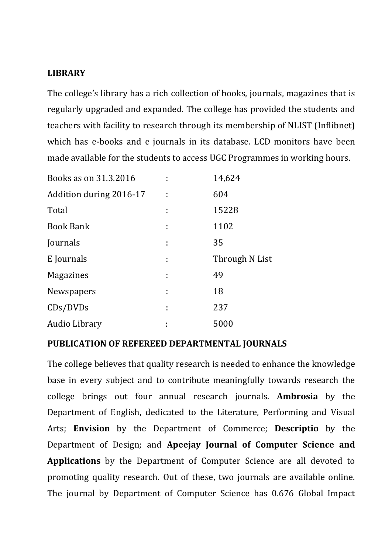## **LIBRARY**

The college's library has a rich collection of books, journals, magazines that is regularly upgraded and expanded. The college has provided the students and teachers with facility to research through its membership of NLIST (Inflibnet) which has e-books and e journals in its database. LCD monitors have been made available for the students to access UGC Programmes in working hours.

| Books as on 31.3.2016   |   | 14,624         |
|-------------------------|---|----------------|
| Addition during 2016-17 |   | 604            |
| Total                   |   | 15228          |
| <b>Book Bank</b>        |   | 1102           |
| Journals                |   | 35             |
| E Journals              | t | Through N List |
| <b>Magazines</b>        |   | 49             |
| Newspapers              |   | 18             |
| CDs/DVDs                |   | 237            |
| Audio Library           |   | 5000           |

### **PUBLICATION OF REFEREED DEPARTMENTAL JOURNALS**

The college believes that quality research is needed to enhance the knowledge base in every subject and to contribute meaningfully towards research the college brings out four annual research journals. **Ambrosia** by the Department of English, dedicated to the Literature, Performing and Visual Arts; **Envision** by the Department of Commerce; **Descriptio** by the Department of Design; and **Apeejay Journal of Computer Science and Applications** by the Department of Computer Science are all devoted to promoting quality research. Out of these, two journals are available online. The journal by Department of Computer Science has 0.676 Global Impact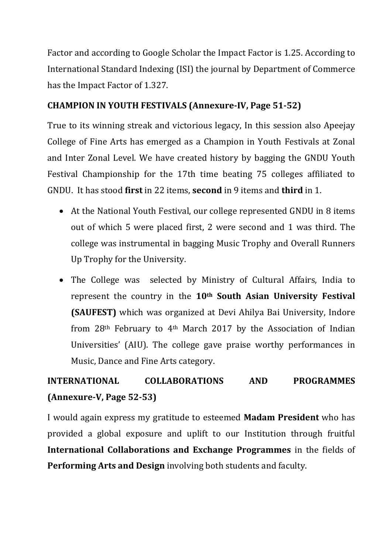Factor and according to Google Scholar the Impact Factor is 1.25. According to International Standard Indexing (ISI) the journal by Department of Commerce has the Impact Factor of 1.327.

## **CHAMPION IN YOUTH FESTIVALS (Annexure-IV, Page 51-52)**

True to its winning streak and victorious legacy, In this session also Apeejay College of Fine Arts has emerged as a Champion in Youth Festivals at Zonal and Inter Zonal Level. We have created history by bagging the GNDU Youth Festival Championship for the 17th time beating 75 colleges affiliated to GNDU. It has stood **first** in 22 items, **second** in 9 items and **third** in 1.

- At the National Youth Festival, our college represented GNDU in 8 items out of which 5 were placed first, 2 were second and 1 was third. The college was instrumental in bagging Music Trophy and Overall Runners Up Trophy for the University.
- The College was selected by Ministry of Cultural Affairs, India to represent the country in the **10th South Asian University Festival (SAUFEST)** which was organized at Devi Ahilya Bai University, Indore from 28th February to 4th March 2017 by the Association of Indian Universities' (AIU). The college gave praise worthy performances in Music, Dance and Fine Arts category.

# **INTERNATIONAL COLLABORATIONS AND PROGRAMMES (Annexure-V, Page 52-53)**

I would again express my gratitude to esteemed **Madam President** who has provided a global exposure and uplift to our Institution through fruitful **International Collaborations and Exchange Programmes** in the fields of **Performing Arts and Design** involving both students and faculty.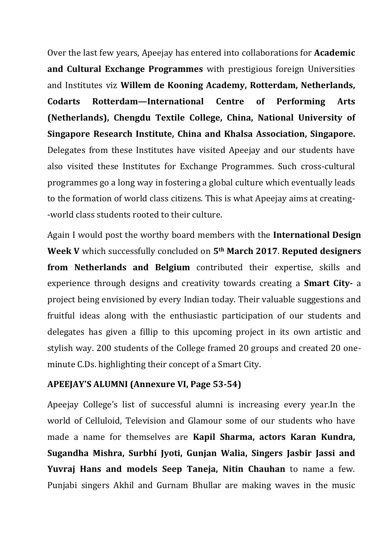Over the last few years, Apeejay has entered into collaborations for **Academic and Cultural Exchange Programmes** with prestigious foreign Universities and Institutes viz **Willem de Kooning Academy, Rotterdam, Netherlands, Codarts Rotterdam—International Centre of Performing Arts (Netherlands), Chengdu Textile College, China, National University of Singapore Research Institute, China and Khalsa Association, Singapore.** Delegates from these Institutes have visited Apeejay and our students have also visited these Institutes for Exchange Programmes. Such cross-cultural programmes go a long way in fostering a global culture which eventually leads to the formation of world class citizens. This is what Apeejay aims at creating- -world class students rooted to their culture.

Again I would post the worthy board members with the **International Design Week V** which successfully concluded on **5th March 2017**. **Reputed designers from Netherlands and Belgium** contributed their expertise, skills and experience through designs and creativity towards creating a **Smart City-** a project being envisioned by every Indian today. Their valuable suggestions and fruitful ideas along with the enthusiastic participation of our students and delegates has given a fillip to this upcoming project in its own artistic and stylish way. 200 students of the College framed 20 groups and created 20 oneminute C.Ds. highlighting their concept of a Smart City.

### **APEEJAY'S ALUMNI (Annexure VI, Page 53-54)**

Apeejay College's list of successful alumni is increasing every year.In the world of Celluloid, Television and Glamour some of our students who have made a name for themselves are **Kapil Sharma, actors Karan Kundra, Sugandha Mishra, Surbhi Jyoti, Gunjan Walia, Singers Jasbir Jassi and Yuvraj Hans and models Seep Taneja, Nitin Chauhan** to name a few. Punjabi singers Akhil and Gurnam Bhullar are making waves in the music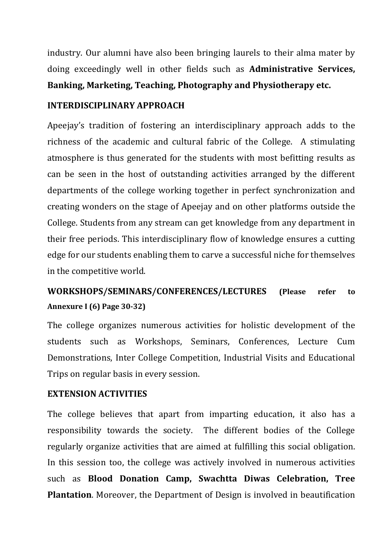industry. Our alumni have also been bringing laurels to their alma mater by doing exceedingly well in other fields such as **Administrative Services, Banking, Marketing, Teaching, Photography and Physiotherapy etc.**

## **INTERDISCIPLINARY APPROACH**

Apeejay's tradition of fostering an interdisciplinary approach adds to the richness of the academic and cultural fabric of the College. A stimulating atmosphere is thus generated for the students with most befitting results as can be seen in the host of outstanding activities arranged by the different departments of the college working together in perfect synchronization and creating wonders on the stage of Apeejay and on other platforms outside the College. Students from any stream can get knowledge from any department in their free periods. This interdisciplinary flow of knowledge ensures a cutting edge for our students enabling them to carve a successful niche for themselves in the competitive world.

# **WORKSHOPS/SEMINARS/CONFERENCES/LECTURES (Please refer to Annexure I (6) Page 30-32)**

The college organizes numerous activities for holistic development of the students such as Workshops, Seminars, Conferences, Lecture Cum Demonstrations, Inter College Competition, Industrial Visits and Educational Trips on regular basis in every session.

### **EXTENSION ACTIVITIES**

The college believes that apart from imparting education, it also has a responsibility towards the society. The different bodies of the College regularly organize activities that are aimed at fulfilling this social obligation. In this session too, the college was actively involved in numerous activities such as **Blood Donation Camp, Swachtta Diwas Celebration, Tree Plantation**. Moreover, the Department of Design is involved in beautification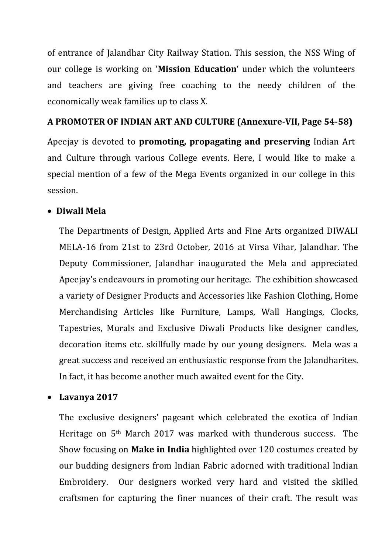of entrance of Jalandhar City Railway Station. This session, the NSS Wing of our college is working on '**Mission Education**' under which the volunteers and teachers are giving free coaching to the needy children of the economically weak families up to class X.

## **A PROMOTER OF INDIAN ART AND CULTURE (Annexure-VII, Page 54-58)**

Apeejay is devoted to **promoting, propagating and preserving** Indian Art and Culture through various College events. Here, I would like to make a special mention of a few of the Mega Events organized in our college in this session.

## • **Diwali Mela**

The Departments of Design, Applied Arts and Fine Arts organized DIWALI MELA-16 from 21st to 23rd October, 2016 at Virsa Vihar, Jalandhar. The Deputy Commissioner, Jalandhar inaugurated the Mela and appreciated Apeejay's endeavours in promoting our heritage. The exhibition showcased a variety of Designer Products and Accessories like Fashion Clothing, Home Merchandising Articles like Furniture, Lamps, Wall Hangings, Clocks, Tapestries, Murals and Exclusive Diwali Products like designer candles, decoration items etc. skillfully made by our young designers. Mela was a great success and received an enthusiastic response from the Jalandharites. In fact, it has become another much awaited event for the City.

## • **Lavanya 2017**

The exclusive designers' pageant which celebrated the exotica of Indian Heritage on 5th March 2017 was marked with thunderous success. The Show focusing on **Make in India** highlighted over 120 costumes created by our budding designers from Indian Fabric adorned with traditional Indian Embroidery. Our designers worked very hard and visited the skilled craftsmen for capturing the finer nuances of their craft. The result was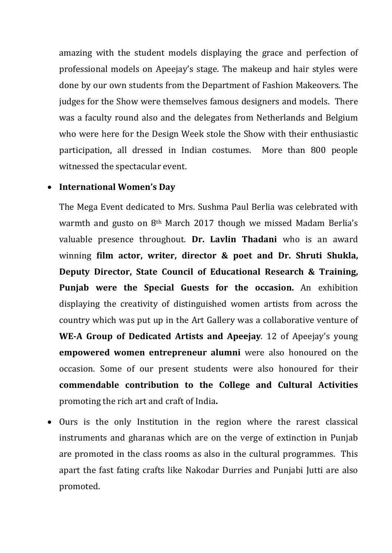amazing with the student models displaying the grace and perfection of professional models on Apeejay's stage. The makeup and hair styles were done by our own students from the Department of Fashion Makeovers. The judges for the Show were themselves famous designers and models. There was a faculty round also and the delegates from Netherlands and Belgium who were here for the Design Week stole the Show with their enthusiastic participation, all dressed in Indian costumes. More than 800 people witnessed the spectacular event.

#### • **International Women's Day**

The Mega Event dedicated to Mrs. Sushma Paul Berlia was celebrated with warmth and gusto on 8th March 2017 though we missed Madam Berlia's valuable presence throughout. **Dr. Lavlin Thadani** who is an award winning **film actor, writer, director & poet and Dr. Shruti Shukla, Deputy Director, [State Council of Educational Research & Training,](http://www.scert.mizoram.gov.in/) Punjab were the Special Guests for the occasion.** An exhibition displaying the creativity of distinguished women artists from across the country which was put up in the Art Gallery was a collaborative venture of **WE-A Group of Dedicated Artists and Apeejay**. 12 of Apeejay's young **empowered women entrepreneur alumni** were also honoured on the occasion. Some of our present students were also honoured for their **commendable contribution to the College and Cultural Activities** promoting the rich art and craft of India**.**

• Ours is the only Institution in the region where the rarest classical instruments and gharanas which are on the verge of extinction in Punjab are promoted in the class rooms as also in the cultural programmes. This apart the fast fating crafts like Nakodar Durries and Punjabi Jutti are also promoted.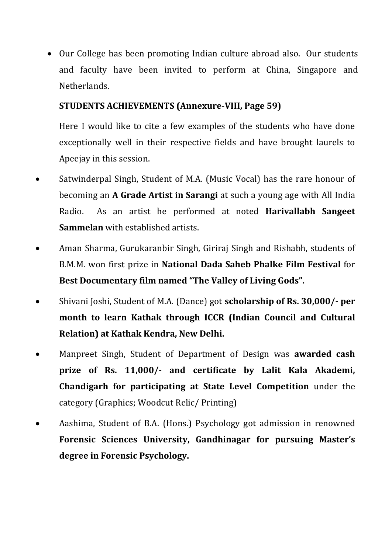• Our College has been promoting Indian culture abroad also. Our students and faculty have been invited to perform at China, Singapore and Netherlands.

## **STUDENTS ACHIEVEMENTS (Annexure-VIII, Page 59)**

Here I would like to cite a few examples of the students who have done exceptionally well in their respective fields and have brought laurels to Apeejay in this session.

- Satwinderpal Singh, Student of M.A. (Music Vocal) has the rare honour of becoming an **A Grade Artist in Sarangi** at such a young age with All India Radio. As an artist he performed at noted **Harivallabh Sangeet Sammelan** with established artists.
- Aman Sharma, Gurukaranbir Singh, Giriraj Singh and Rishabh, students of B.M.M. won first prize in **National Dada Saheb Phalke Film Festival** for **Best Documentary film named "The Valley of Living Gods".**
- Shivani Joshi, Student of M.A. (Dance) got **scholarship of Rs. 30,000/- per month to learn Kathak through ICCR (Indian Council and Cultural Relation) at Kathak Kendra, New Delhi.**
- Manpreet Singh, Student of Department of Design was **awarded cash prize of Rs. 11,000/- and certificate by Lalit Kala Akademi, Chandigarh for participating at State Level Competition** under the category (Graphics; Woodcut Relic/ Printing)
- Aashima, Student of B.A. (Hons.) Psychology got admission in renowned **Forensic Sciences University, Gandhinagar for pursuing Master's degree in Forensic Psychology.**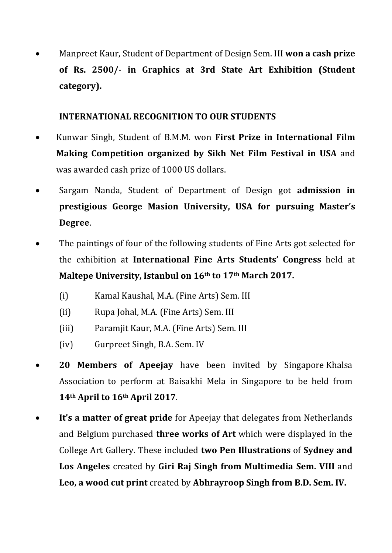• Manpreet Kaur, Student of Department of Design Sem. III **won a cash prize of Rs. 2500/- in Graphics at 3rd State Art Exhibition (Student category).** 

## **INTERNATIONAL RECOGNITION TO OUR STUDENTS**

- Kunwar Singh, Student of B.M.M. won **First Prize in International Film Making Competition organized by Sikh Net Film Festival in USA** and was awarded cash prize of 1000 US dollars.
- Sargam Nanda, Student of Department of Design got **admission in prestigious George Masion University, USA for pursuing Master's Degree**.
- The paintings of four of the following students of Fine Arts got selected for the exhibition at **International Fine Arts Students' Congress** held at **Maltepe University, Istanbul on 16th to 17th March 2017.** 
	- (i) Kamal Kaushal, M.A. (Fine Arts) Sem. III
	- (ii) Rupa Johal, M.A. (Fine Arts) Sem. III
	- (iii) Paramjit Kaur, M.A. (Fine Arts) Sem. III
	- (iv) Gurpreet Singh, B.A. Sem. IV
- **20 Members of Apeejay** have been invited by Singapore Khalsa Association to perform at Baisakhi Mela in Singapore to be held from **14th April to 16th April 2017**.
- **It's a matter of great pride** for Apeejay that delegates from Netherlands and Belgium purchased **three works of Art** which were displayed in the College Art Gallery. These included **two Pen Illustrations** of **Sydney and Los Angeles** created by **Giri Raj Singh from Multimedia Sem. VIII** and **Leo, a wood cut print** created by **Abhrayroop Singh from B.D. Sem. IV.**